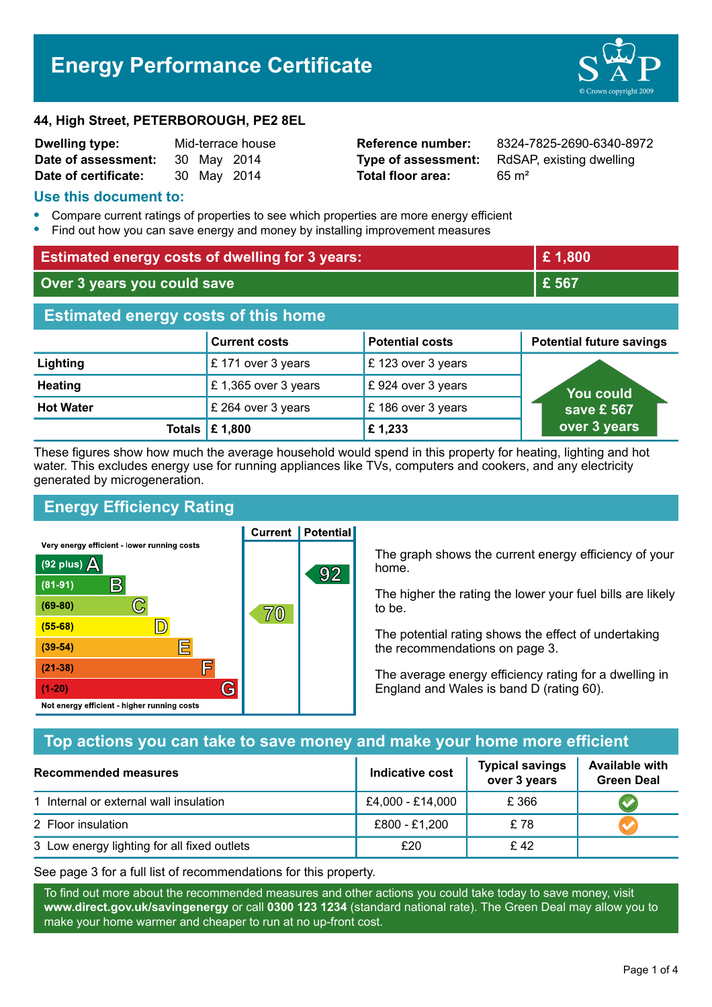# **Energy Performance Certificate**



#### **44, High Street, PETERBOROUGH, PE2 8EL**

| Dwelling type:       | Mid-terrace house |             |  |
|----------------------|-------------------|-------------|--|
| Date of assessment:  |                   | 30 May 2014 |  |
| Date of certificate: |                   | 30 May 2014 |  |

**Total floor area:** 65 m<sup>2</sup>

**Reference number:** 8324-7825-2690-6340-8972 **Type of assessment:** RdSAP, existing dwelling

#### **Use this document to:**

- **•** Compare current ratings of properties to see which properties are more energy efficient
- **•** Find out how you can save energy and money by installing improvement measures

| <b>Estimated energy costs of dwelling for 3 years:</b> |                                 | £1,800                 |                                 |  |
|--------------------------------------------------------|---------------------------------|------------------------|---------------------------------|--|
| Over 3 years you could save                            |                                 | £ 567                  |                                 |  |
| <b>Estimated energy costs of this home</b>             |                                 |                        |                                 |  |
|                                                        | <b>Current costs</b>            | <b>Potential costs</b> | <b>Potential future savings</b> |  |
| Lighting                                               | £171 over 3 years               | £123 over 3 years      |                                 |  |
| <b>Heating</b>                                         | £1,365 over 3 years             | £924 over 3 years      | You could                       |  |
| <b>Hot Water</b>                                       | £ 264 over 3 years              | £186 over 3 years      | save £ 567                      |  |
|                                                        | Totals $\mathbf \epsilon$ 1,800 | £1,233                 | over 3 years                    |  |

These figures show how much the average household would spend in this property for heating, lighting and hot water. This excludes energy use for running appliances like TVs, computers and cookers, and any electricity generated by microgeneration.

**Current | Potential** 

# **Energy Efficiency Rating**

Very energy efficient - lower running costs



The graph shows the current energy efficiency of your home.

The higher the rating the lower your fuel bills are likely to be.

The potential rating shows the effect of undertaking the recommendations on page 3.

The average energy efficiency rating for a dwelling in England and Wales is band D (rating 60).

## **Top actions you can take to save money and make your home more efficient**

| Recommended measures                        | Indicative cost  | <b>Typical savings</b><br>over 3 years | <b>Available with</b><br><b>Green Deal</b> |
|---------------------------------------------|------------------|----------------------------------------|--------------------------------------------|
| 1 Internal or external wall insulation      | £4,000 - £14,000 | £366                                   |                                            |
| 2 Floor insulation                          | £800 - £1,200    | £ 78                                   |                                            |
| 3 Low energy lighting for all fixed outlets | £20              | £42                                    |                                            |

See page 3 for a full list of recommendations for this property.

To find out more about the recommended measures and other actions you could take today to save money, visit **www.direct.gov.uk/savingenergy** or call **0300 123 1234** (standard national rate). The Green Deal may allow you to make your home warmer and cheaper to run at no up-front cost.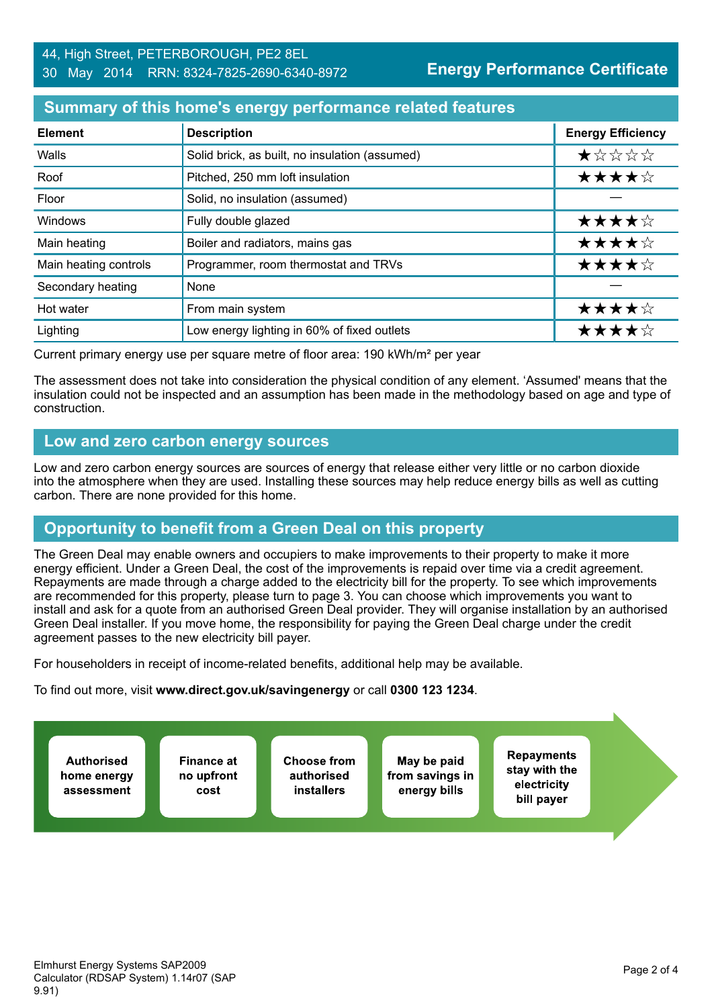## **Summary of this home's energy performance related features**

| <b>Element</b>        | <b>Description</b>                             | <b>Energy Efficiency</b> |
|-----------------------|------------------------------------------------|--------------------------|
| Walls                 | Solid brick, as built, no insulation (assumed) | *****                    |
| Roof                  | Pitched, 250 mm loft insulation                | ★★★★☆                    |
| Floor                 | Solid, no insulation (assumed)                 |                          |
| Windows               | Fully double glazed                            | ★★★★☆                    |
| Main heating          | Boiler and radiators, mains gas                | ★★★★☆                    |
| Main heating controls | Programmer, room thermostat and TRVs           | ★★★★☆                    |
| Secondary heating     | None                                           |                          |
| Hot water             | From main system                               | ★★★★☆                    |
| Lighting              | Low energy lighting in 60% of fixed outlets    | ★★★★☆                    |

Current primary energy use per square metre of floor area: 190 kWh/m² per year

The assessment does not take into consideration the physical condition of any element. 'Assumed' means that the insulation could not be inspected and an assumption has been made in the methodology based on age and type of construction.

#### **Low and zero carbon energy sources**

Low and zero carbon energy sources are sources of energy that release either very little or no carbon dioxide into the atmosphere when they are used. Installing these sources may help reduce energy bills as well as cutting carbon. There are none provided for this home.

# **Opportunity to benefit from a Green Deal on this property**

The Green Deal may enable owners and occupiers to make improvements to their property to make it more energy efficient. Under a Green Deal, the cost of the improvements is repaid over time via a credit agreement. Repayments are made through a charge added to the electricity bill for the property. To see which improvements are recommended for this property, please turn to page 3. You can choose which improvements you want to install and ask for a quote from an authorised Green Deal provider. They will organise installation by an authorised Green Deal installer. If you move home, the responsibility for paying the Green Deal charge under the credit agreement passes to the new electricity bill payer.

For householders in receipt of income-related benefits, additional help may be available.

To find out more, visit **www.direct.gov.uk/savingenergy** or call **0300 123 1234**.

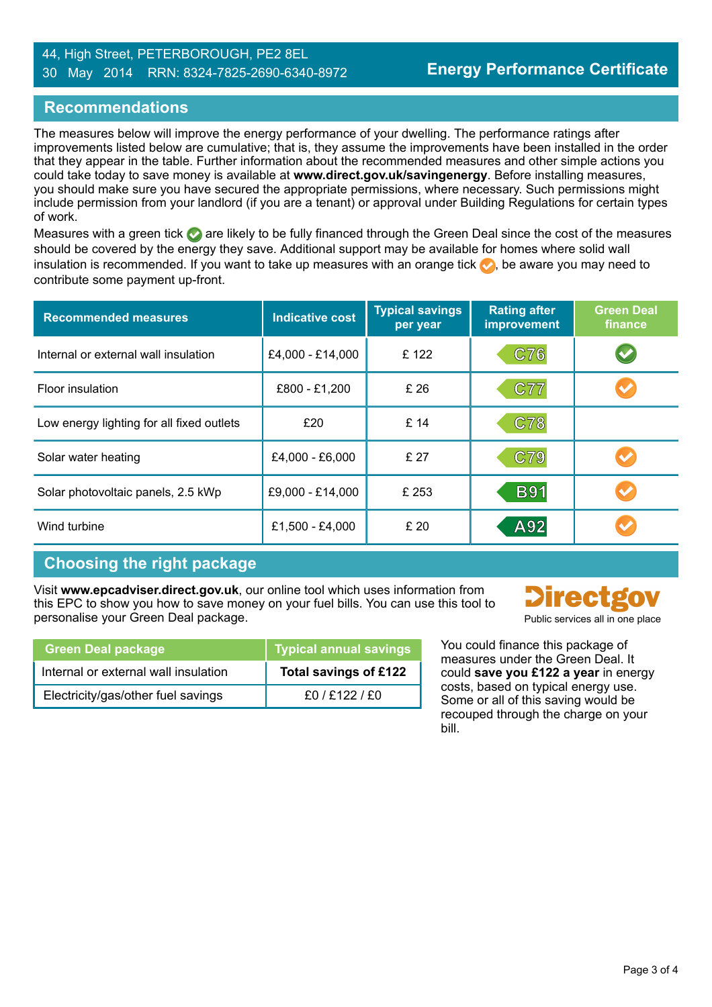#### 44, High Street, PETERBOROUGH, PE2 8EL 30 May 2014 RRN: 8324-7825-2690-6340-8972

## **Recommendations**

The measures below will improve the energy performance of your dwelling. The performance ratings after improvements listed below are cumulative; that is, they assume the improvements have been installed in the order that they appear in the table. Further information about the recommended measures and other simple actions you could take today to save money is available at **www.direct.gov.uk/savingenergy**. Before installing measures, you should make sure you have secured the appropriate permissions, where necessary. Such permissions might include permission from your landlord (if you are a tenant) or approval under Building Regulations for certain types of work.

Measures with a green tick are likely to be fully financed through the Green Deal since the cost of the measures should be covered by the energy they save. Additional support may be available for homes where solid wall insulation is recommended. If you want to take up measures with an orange tick  $\bullet$ , be aware you may need to contribute some payment up-front.

| <b>Recommended measures</b>               | <b>Indicative cost</b> | <b>Typical savings</b><br>per year | <b>Rating after</b><br>improvement | <b>Green Deal</b><br>finance |
|-------------------------------------------|------------------------|------------------------------------|------------------------------------|------------------------------|
| Internal or external wall insulation      | £4,000 - £14,000       | £122                               | C76                                |                              |
| Floor insulation                          | £800 - £1,200          | £ 26                               | C77                                |                              |
| Low energy lighting for all fixed outlets | £20                    | £ 14                               | C78                                |                              |
| Solar water heating                       | £4,000 - £6,000        | £27                                | C79                                |                              |
| Solar photovoltaic panels, 2.5 kWp        | £9,000 - £14,000       | £ 253                              | <b>B91</b>                         |                              |
| Wind turbine                              | £1,500 - £4,000        | £ 20                               | A92                                |                              |

## **Choosing the right package**

Visit **www.epcadviser.direct.gov.uk**, our online tool which uses information from this EPC to show you how to save money on your fuel bills. You can use this tool to personalise your Green Deal package.

| Public services all in one place |
|----------------------------------|

| <b>Green Deal package</b>            | Typical annual savings |
|--------------------------------------|------------------------|
| Internal or external wall insulation | Total savings of £122  |
| Electricity/gas/other fuel savings   | f0 / f122 / f0         |

You could finance this package of measures under the Green Deal. It could **save you £122 a year** in energy costs, based on typical energy use. Some or all of this saving would be recouped through the charge on your bill.

**Contract Contract**